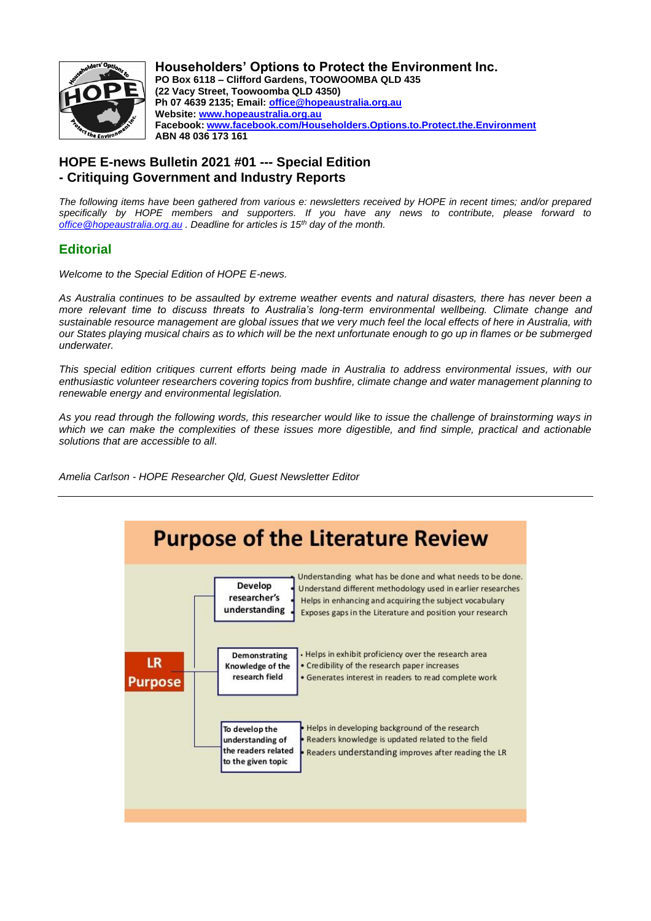

**Householders' Options to Protect the Environment Inc. PO Box 6118 – Clifford Gardens, TOOWOOMBA QLD 435 (22 Vacy Street, Toowoomba QLD 4350) Ph 07 4639 2135; Email: [office@hopeaustralia.org.au](about:blank) Website: [www.hopeaustralia.org.au](about:blank) Facebook: [www.facebook.com/Householders.Options.to.Protect.the.Environment](about:blank) ABN 48 036 173 161**

# **HOPE E-news Bulletin 2021 #01 --- Special Edition - Critiquing Government and Industry Reports**

*The following items have been gathered from various e: newsletters received by HOPE in recent times; and/or prepared specifically by HOPE members and supporters. If you have any news to contribute, please forward to [office@hopeaustralia.org.au](about:blank) . Deadline for articles is 15th day of the month.*

# **Editorial**

*Welcome to the Special Edition of HOPE E-news.*

*As Australia continues to be assaulted by extreme weather events and natural disasters, there has never been a more relevant time to discuss threats to Australia's long-term environmental wellbeing. Climate change and sustainable resource management are global issues that we very much feel the local effects of here in Australia, with our States playing musical chairs as to which will be the next unfortunate enough to go up in flames or be submerged underwater.*

*This special edition critiques current efforts being made in Australia to address environmental issues, with our enthusiastic volunteer researchers covering topics from bushfire, climate change and water management planning to renewable energy and environmental legislation.*

*As you read through the following words, this researcher would like to issue the challenge of brainstorming ways in which we can make the complexities of these issues more digestible, and find simple, practical and actionable solutions that are accessible to all.* 

*Amelia Carlson - HOPE Researcher Qld, Guest Newsletter Editor*

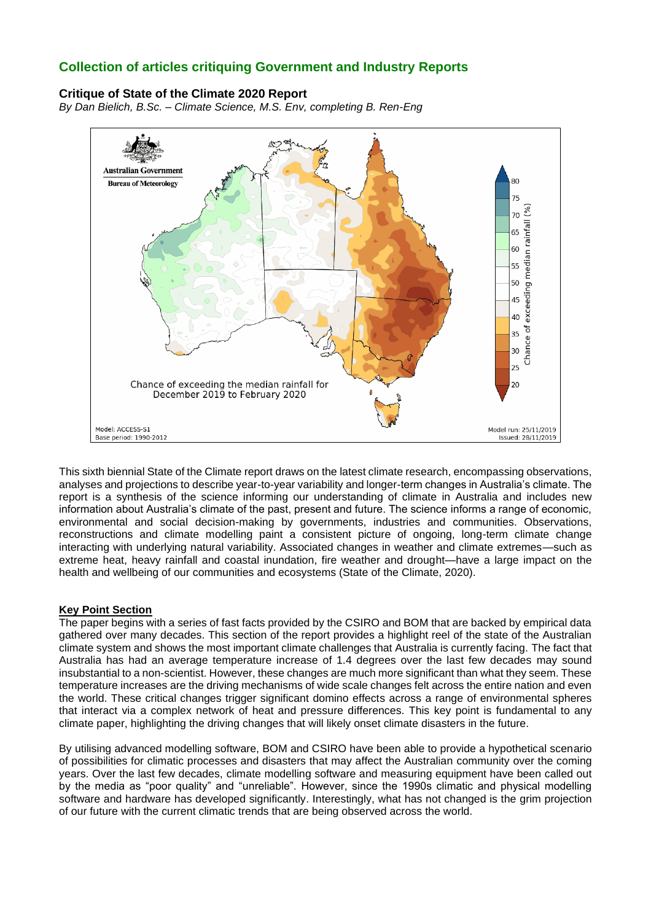# **Collection of articles critiquing Government and Industry Reports**

# **Critique of State of the Climate 2020 Report**

*By Dan Bielich, B.Sc. – Climate Science, M.S. Env, completing B. Ren-Eng*



This sixth biennial State of the Climate report draws on the latest climate research, encompassing observations, analyses and projections to describe year-to-year variability and longer-term changes in Australia's climate. The report is a synthesis of the science informing our understanding of climate in Australia and includes new information about Australia's climate of the past, present and future. The science informs a range of economic, environmental and social decision-making by governments, industries and communities. Observations, reconstructions and climate modelling paint a consistent picture of ongoing, long-term climate change interacting with underlying natural variability. Associated changes in weather and climate extremes—such as extreme heat, heavy rainfall and coastal inundation, fire weather and drought—have a large impact on the health and wellbeing of our communities and ecosystems (State of the Climate, 2020).

# **Key Point Section**

The paper begins with a series of fast facts provided by the CSIRO and BOM that are backed by empirical data gathered over many decades. This section of the report provides a highlight reel of the state of the Australian climate system and shows the most important climate challenges that Australia is currently facing. The fact that Australia has had an average temperature increase of 1.4 degrees over the last few decades may sound insubstantial to a non-scientist. However, these changes are much more significant than what they seem. These temperature increases are the driving mechanisms of wide scale changes felt across the entire nation and even the world. These critical changes trigger significant domino effects across a range of environmental spheres that interact via a complex network of heat and pressure differences. This key point is fundamental to any climate paper, highlighting the driving changes that will likely onset climate disasters in the future.

By utilising advanced modelling software, BOM and CSIRO have been able to provide a hypothetical scenario of possibilities for climatic processes and disasters that may affect the Australian community over the coming years. Over the last few decades, climate modelling software and measuring equipment have been called out by the media as "poor quality" and "unreliable". However, since the 1990s climatic and physical modelling software and hardware has developed significantly. Interestingly, what has not changed is the grim projection of our future with the current climatic trends that are being observed across the world.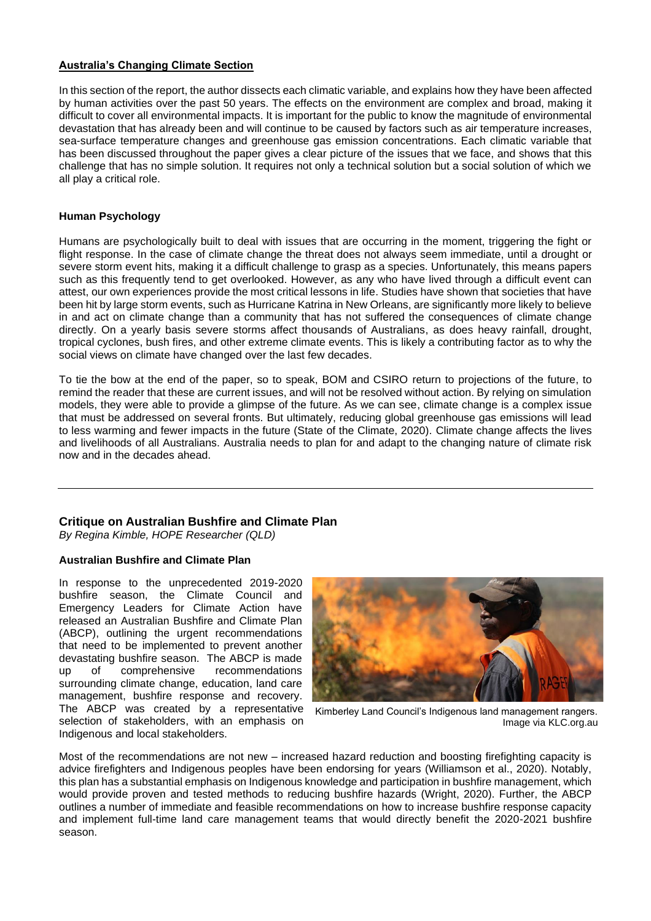# **Australia's Changing Climate Section**

In this section of the report, the author dissects each climatic variable, and explains how they have been affected by human activities over the past 50 years. The effects on the environment are complex and broad, making it difficult to cover all environmental impacts. It is important for the public to know the magnitude of environmental devastation that has already been and will continue to be caused by factors such as air temperature increases, sea-surface temperature changes and greenhouse gas emission concentrations. Each climatic variable that has been discussed throughout the paper gives a clear picture of the issues that we face, and shows that this challenge that has no simple solution. It requires not only a technical solution but a social solution of which we all play a critical role.

#### **Human Psychology**

Humans are psychologically built to deal with issues that are occurring in the moment, triggering the fight or flight response. In the case of climate change the threat does not always seem immediate, until a drought or severe storm event hits, making it a difficult challenge to grasp as a species. Unfortunately, this means papers such as this frequently tend to get overlooked. However, as any who have lived through a difficult event can attest, our own experiences provide the most critical lessons in life. Studies have shown that societies that have been hit by large storm events, such as Hurricane Katrina in New Orleans, are significantly more likely to believe in and act on climate change than a community that has not suffered the consequences of climate change directly. On a yearly basis severe storms affect thousands of Australians, as does heavy rainfall, drought, tropical cyclones, bush fires, and other extreme climate events. This is likely a contributing factor as to why the social views on climate have changed over the last few decades.

To tie the bow at the end of the paper, so to speak, BOM and CSIRO return to projections of the future, to remind the reader that these are current issues, and will not be resolved without action. By relying on simulation models, they were able to provide a glimpse of the future. As we can see, climate change is a complex issue that must be addressed on several fronts. But ultimately, reducing global greenhouse gas emissions will lead to less warming and fewer impacts in the future (State of the Climate, 2020). Climate change affects the lives and livelihoods of all Australians. Australia needs to plan for and adapt to the changing nature of climate risk now and in the decades ahead.

# **Critique on Australian Bushfire and Climate Plan**

*By Regina Kimble, HOPE Researcher (QLD)*

# **Australian Bushfire and Climate Plan**

In response to the unprecedented 2019-2020 bushfire season, the Climate Council and Emergency Leaders for Climate Action have released an Australian Bushfire and Climate Plan (ABCP), outlining the urgent recommendations that need to be implemented to prevent another devastating bushfire season. The ABCP is made up of comprehensive recommendations surrounding climate change, education, land care management, bushfire response and recovery. The ABCP was created by a representative selection of stakeholders, with an emphasis on Indigenous and local stakeholders.



Kimberley Land Council's Indigenous land management rangers. Image via KLC.org.au

Most of the recommendations are not new – increased hazard reduction and boosting firefighting capacity is advice firefighters and Indigenous peoples have been endorsing for years (Williamson et al., 2020). Notably, this plan has a substantial emphasis on Indigenous knowledge and participation in bushfire management, which would provide proven and tested methods to reducing bushfire hazards (Wright, 2020). Further, the ABCP outlines a number of immediate and feasible recommendations on how to increase bushfire response capacity and implement full-time land care management teams that would directly benefit the 2020-2021 bushfire season.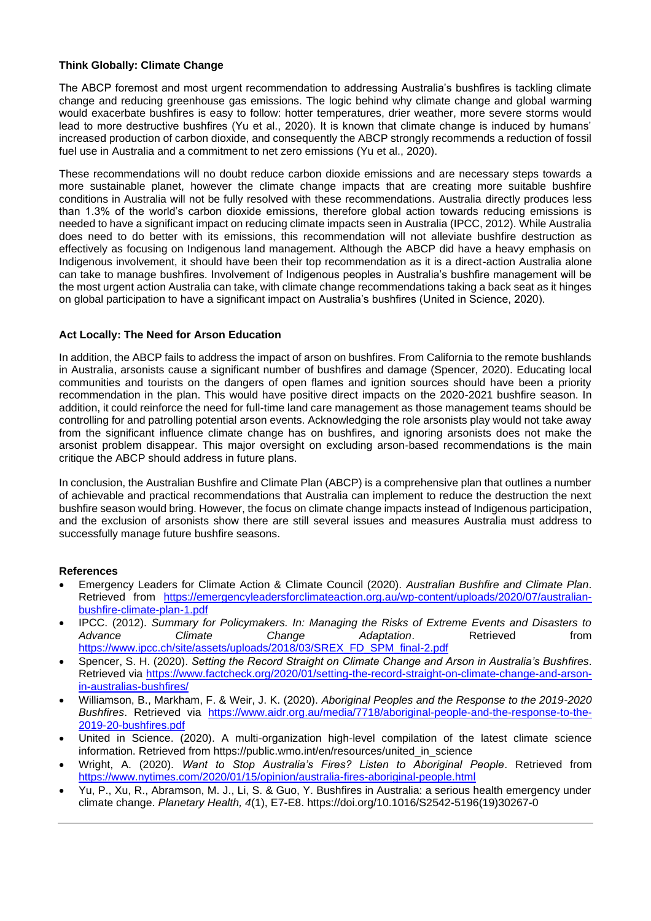# **Think Globally: Climate Change**

The ABCP foremost and most urgent recommendation to addressing Australia's bushfires is tackling climate change and reducing greenhouse gas emissions. The logic behind why climate change and global warming would exacerbate bushfires is easy to follow: hotter temperatures, drier weather, more severe storms would lead to more destructive bushfires (Yu et al., 2020). It is known that climate change is induced by humans' increased production of carbon dioxide, and consequently the ABCP strongly recommends a reduction of fossil fuel use in Australia and a commitment to net zero emissions (Yu et al., 2020).

These recommendations will no doubt reduce carbon dioxide emissions and are necessary steps towards a more sustainable planet, however the climate change impacts that are creating more suitable bushfire conditions in Australia will not be fully resolved with these recommendations. Australia directly produces less than 1.3% of the world's carbon dioxide emissions, therefore global action towards reducing emissions is needed to have a significant impact on reducing climate impacts seen in Australia (IPCC, 2012). While Australia does need to do better with its emissions, this recommendation will not alleviate bushfire destruction as effectively as focusing on Indigenous land management. Although the ABCP did have a heavy emphasis on Indigenous involvement, it should have been their top recommendation as it is a direct-action Australia alone can take to manage bushfires. Involvement of Indigenous peoples in Australia's bushfire management will be the most urgent action Australia can take, with climate change recommendations taking a back seat as it hinges on global participation to have a significant impact on Australia's bushfires (United in Science, 2020).

#### **Act Locally: The Need for Arson Education**

In addition, the ABCP fails to address the impact of arson on bushfires. From California to the remote bushlands in Australia, arsonists cause a significant number of bushfires and damage (Spencer, 2020). Educating local communities and tourists on the dangers of open flames and ignition sources should have been a priority recommendation in the plan. This would have positive direct impacts on the 2020-2021 bushfire season. In addition, it could reinforce the need for full-time land care management as those management teams should be controlling for and patrolling potential arson events. Acknowledging the role arsonists play would not take away from the significant influence climate change has on bushfires, and ignoring arsonists does not make the arsonist problem disappear. This major oversight on excluding arson-based recommendations is the main critique the ABCP should address in future plans.

In conclusion, the Australian Bushfire and Climate Plan (ABCP) is a comprehensive plan that outlines a number of achievable and practical recommendations that Australia can implement to reduce the destruction the next bushfire season would bring. However, the focus on climate change impacts instead of Indigenous participation, and the exclusion of arsonists show there are still several issues and measures Australia must address to successfully manage future bushfire seasons.

# **References**

- Emergency Leaders for Climate Action & Climate Council (2020). *Australian Bushfire and Climate Plan*. Retrieved from [https://emergencyleadersforclimateaction.org.au/wp-content/uploads/2020/07/australian](https://emergencyleadersforclimateaction.org.au/wp-content/uploads/2020/07/australian-bushfire-climate-plan-1.pdf)[bushfire-climate-plan-1.pdf](https://emergencyleadersforclimateaction.org.au/wp-content/uploads/2020/07/australian-bushfire-climate-plan-1.pdf)
- IPCC. (2012). *Summary for Policymakers. In: Managing the Risks of Extreme Events and Disasters to Advance Climate Change Adaptation*. Retrieved from [https://www.ipcc.ch/site/assets/uploads/2018/03/SREX\\_FD\\_SPM\\_final-2.pdf](https://www.ipcc.ch/site/assets/uploads/2018/03/SREX_FD_SPM_final-2.pdf)
- Spencer, S. H. (2020). *Setting the Record Straight on Climate Change and Arson in Australia's Bushfires*. Retrieved via [https://www.factcheck.org/2020/01/setting-the-record-straight-on-climate-change-and-arson](https://www.factcheck.org/2020/01/setting-the-record-straight-on-climate-change-and-arson-in-australias-bushfires/)[in-australias-bushfires/](https://www.factcheck.org/2020/01/setting-the-record-straight-on-climate-change-and-arson-in-australias-bushfires/)
- Williamson, B., Markham, F. & Weir, J. K. (2020). *Aboriginal Peoples and the Response to the 2019-2020 Bushfires*. Retrieved via [https://www.aidr.org.au/media/7718/aboriginal-people-and-the-response-to-the-](https://www.aidr.org.au/media/7718/aboriginal-people-and-the-response-to-the-2019-20-bushfires.pdf)[2019-20-bushfires.pdf](https://www.aidr.org.au/media/7718/aboriginal-people-and-the-response-to-the-2019-20-bushfires.pdf)
- United in Science. (2020). A multi-organization high-level compilation of the latest climate science information. Retrieved from https://public.wmo.int/en/resources/united\_in\_science
- Wright, A. (2020). *Want to Stop Australia's Fires? Listen to Aboriginal People*. Retrieved from <https://www.nytimes.com/2020/01/15/opinion/australia-fires-aboriginal-people.html>
- Yu, P., Xu, R., Abramson, M. J., Li, S. & Guo, Y. Bushfires in Australia: a serious health emergency under climate change. *Planetary Health, 4*(1), E7-E8. https://doi.org/10.1016/S2542-5196(19)30267-0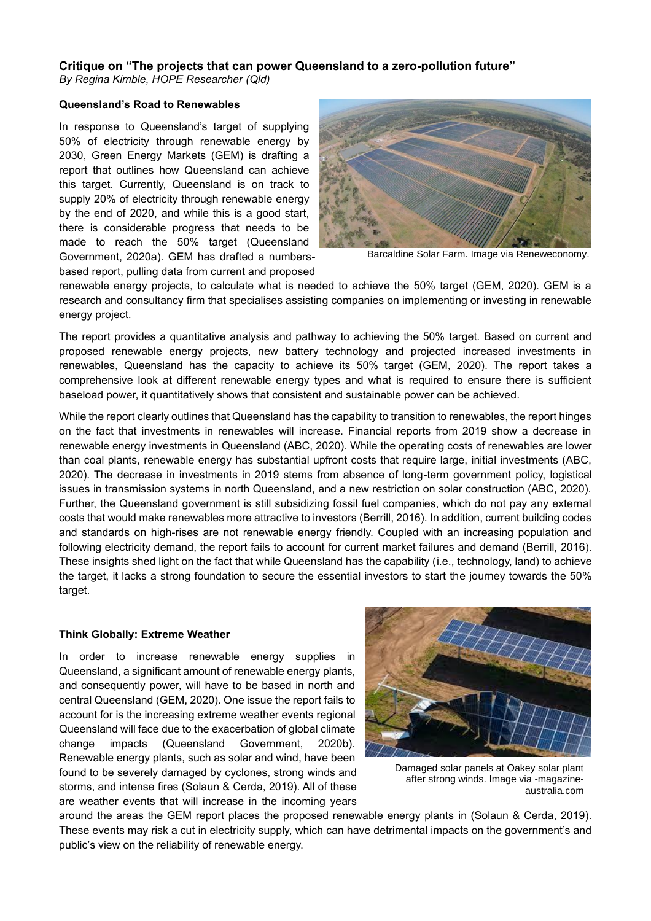# **Critique on "The projects that can power Queensland to a zero-pollution future"**

*By Regina Kimble, HOPE Researcher (Qld)*

#### **Queensland's Road to Renewables**

In response to Queensland's target of supplying 50% of electricity through renewable energy by 2030, Green Energy Markets (GEM) is drafting a report that outlines how Queensland can achieve this target. Currently, Queensland is on track to supply 20% of electricity through renewable energy by the end of 2020, and while this is a good start, there is considerable progress that needs to be made to reach the 50% target (Queensland Government, 2020a). GEM has drafted a numbersbased report, pulling data from current and proposed



Barcaldine Solar Farm. Image via Reneweconomy.

renewable energy projects, to calculate what is needed to achieve the 50% target (GEM, 2020). GEM is a research and consultancy firm that specialises assisting companies on implementing or investing in renewable energy project.

The report provides a quantitative analysis and pathway to achieving the 50% target. Based on current and proposed renewable energy projects, new battery technology and projected increased investments in renewables, Queensland has the capacity to achieve its 50% target (GEM, 2020). The report takes a comprehensive look at different renewable energy types and what is required to ensure there is sufficient baseload power, it quantitatively shows that consistent and sustainable power can be achieved.

While the report clearly outlines that Queensland has the capability to transition to renewables, the report hinges on the fact that investments in renewables will increase. Financial reports from 2019 show a decrease in renewable energy investments in Queensland (ABC, 2020). While the operating costs of renewables are lower than coal plants, renewable energy has substantial upfront costs that require large, initial investments (ABC, 2020). The decrease in investments in 2019 stems from absence of long-term government policy, logistical issues in transmission systems in north Queensland, and a new restriction on solar construction (ABC, 2020). Further, the Queensland government is still subsidizing fossil fuel companies, which do not pay any external costs that would make renewables more attractive to investors (Berrill, 2016). In addition, current building codes and standards on high-rises are not renewable energy friendly. Coupled with an increasing population and following electricity demand, the report fails to account for current market failures and demand (Berrill, 2016). These insights shed light on the fact that while Queensland has the capability (i.e., technology, land) to achieve the target, it lacks a strong foundation to secure the essential investors to start the journey towards the 50% target.

# **Think Globally: Extreme Weather**

In order to increase renewable energy supplies in Queensland, a significant amount of renewable energy plants, and consequently power, will have to be based in north and central Queensland (GEM, 2020). One issue the report fails to account for is the increasing extreme weather events regional Queensland will face due to the exacerbation of global climate change impacts (Queensland Government, 2020b). Renewable energy plants, such as solar and wind, have been found to be severely damaged by cyclones, strong winds and storms, and intense fires (Solaun & Cerda, 2019). All of these are weather events that will increase in the incoming years



Damaged solar panels at Oakey solar plant after strong winds. Image via -magazineaustralia.com

around the areas the GEM report places the proposed renewable energy plants in (Solaun & Cerda, 2019). These events may risk a cut in electricity supply, which can have detrimental impacts on the government's and public's view on the reliability of renewable energy.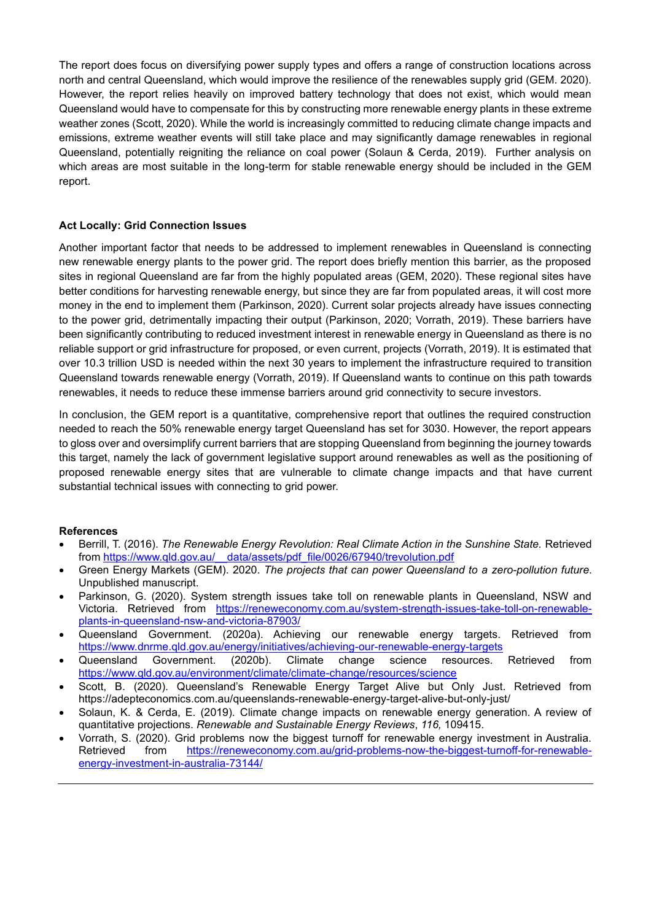The report does focus on diversifying power supply types and offers a range of construction locations across north and central Queensland, which would improve the resilience of the renewables supply grid (GEM. 2020). However, the report relies heavily on improved battery technology that does not exist, which would mean Queensland would have to compensate for this by constructing more renewable energy plants in these extreme weather zones (Scott, 2020). While the world is increasingly committed to reducing climate change impacts and emissions, extreme weather events will still take place and may significantly damage renewables in regional Queensland, potentially reigniting the reliance on coal power (Solaun & Cerda, 2019). Further analysis on which areas are most suitable in the long-term for stable renewable energy should be included in the GEM report.

# **Act Locally: Grid Connection Issues**

Another important factor that needs to be addressed to implement renewables in Queensland is connecting new renewable energy plants to the power grid. The report does briefly mention this barrier, as the proposed sites in regional Queensland are far from the highly populated areas (GEM, 2020). These regional sites have better conditions for harvesting renewable energy, but since they are far from populated areas, it will cost more money in the end to implement them (Parkinson, 2020). Current solar projects already have issues connecting to the power grid, detrimentally impacting their output (Parkinson, 2020; Vorrath, 2019). These barriers have been significantly contributing to reduced investment interest in renewable energy in Queensland as there is no reliable support or grid infrastructure for proposed, or even current, projects (Vorrath, 2019). It is estimated that over 10.3 trillion USD is needed within the next 30 years to implement the infrastructure required to transition Queensland towards renewable energy (Vorrath, 2019). If Queensland wants to continue on this path towards renewables, it needs to reduce these immense barriers around grid connectivity to secure investors.

In conclusion, the GEM report is a quantitative, comprehensive report that outlines the required construction needed to reach the 50% renewable energy target Queensland has set for 3030. However, the report appears to gloss over and oversimplify current barriers that are stopping Queensland from beginning the journey towards this target, namely the lack of government legislative support around renewables as well as the positioning of proposed renewable energy sites that are vulnerable to climate change impacts and that have current substantial technical issues with connecting to grid power.

# **References**

- Berrill, T. (2016). *The Renewable Energy Revolution: Real Climate Action in the Sunshine State.* Retrieved from [https://www.qld.gov.au/\\_\\_data/assets/pdf\\_file/0026/67940/trevolution.pdf](https://www.qld.gov.au/__data/assets/pdf_file/0026/67940/trevolution.pdf)
- Green Energy Markets (GEM). 2020. *The projects that can power Queensland to a zero-pollution future*. Unpublished manuscript.
- Parkinson, G. (2020). System strength issues take toll on renewable plants in Queensland, NSW and Victoria. Retrieved from [https://reneweconomy.com.au/system-strength-issues-take-toll-on-renewable](https://reneweconomy.com.au/system-strength-issues-take-toll-on-renewable-plants-in-queensland-nsw-and-victoria-87903/)[plants-in-queensland-nsw-and-victoria-87903/](https://reneweconomy.com.au/system-strength-issues-take-toll-on-renewable-plants-in-queensland-nsw-and-victoria-87903/)
- Queensland Government. (2020a). Achieving our renewable energy targets. Retrieved from <https://www.dnrme.qld.gov.au/energy/initiatives/achieving-our-renewable-energy-targets>
- Queensland Government. (2020b). Climate change science resources. Retrieved from <https://www.qld.gov.au/environment/climate/climate-change/resources/science>
- Scott, B. (2020). Queensland's Renewable Energy Target Alive but Only Just. Retrieved from https://adepteconomics.com.au/queenslands-renewable-energy-target-alive-but-only-just/
- Solaun, K. & Cerda, E. (2019). Climate change impacts on renewable energy generation. A review of quantitative projections. *Renewable and Sustainable Energy Reviews*, *116,* 109415.
- Vorrath, S. (2020). Grid problems now the biggest turnoff for renewable energy investment in Australia. Retrieved from [https://reneweconomy.com.au/grid-problems-now-the-biggest-turnoff-for-renewable](https://reneweconomy.com.au/grid-problems-now-the-biggest-turnoff-for-renewable-energy-investment-in-australia-73144/)[energy-investment-in-australia-73144/](https://reneweconomy.com.au/grid-problems-now-the-biggest-turnoff-for-renewable-energy-investment-in-australia-73144/)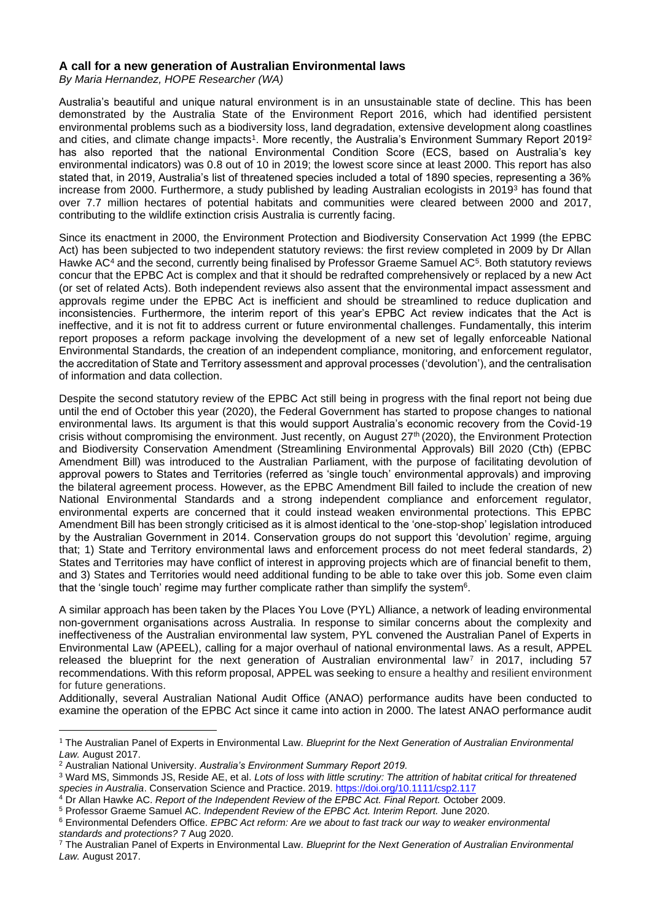# **A call for a new generation of Australian Environmental laws**

*By Maria Hernandez, HOPE Researcher (WA)*

Australia's beautiful and unique natural environment is in an unsustainable state of decline. This has been demonstrated by the Australia State of the Environment Report 2016, which had identified persistent environmental problems such as a biodiversity loss, land degradation, extensive development along coastlines and cities, and climate change impacts<sup>1</sup>. More recently, the Australia's Environment Summary Report 2019<sup>2</sup> has also reported that the national Environmental Condition Score (ECS, based on Australia's key environmental indicators) was 0.8 out of 10 in 2019; the lowest score since at least 2000. This report has also stated that, in 2019, Australia's list of threatened species included a total of 1890 species, representing a 36% increase from 2000. Furthermore, a study published by leading Australian ecologists in 2019<sup>3</sup> has found that over 7.7 million hectares of potential habitats and communities were cleared between 2000 and 2017, contributing to the wildlife extinction crisis Australia is currently facing.

Since its enactment in 2000, the Environment Protection and Biodiversity Conservation Act 1999 (the EPBC Act) has been subjected to two independent statutory reviews: the first review completed in 2009 by Dr Allan Hawke AC<sup>4</sup> and the second, currently being finalised by Professor Graeme Samuel AC<sup>5</sup>. Both statutory reviews concur that the EPBC Act is complex and that it should be redrafted comprehensively or replaced by a new Act (or set of related Acts). Both independent reviews also assent that the environmental impact assessment and approvals regime under the EPBC Act is inefficient and should be streamlined to reduce duplication and inconsistencies. Furthermore, the interim report of this year's EPBC Act review indicates that the Act is ineffective, and it is not fit to address current or future environmental challenges. Fundamentally, this interim report proposes a reform package involving the development of a new set of legally enforceable National Environmental Standards, the creation of an independent compliance, monitoring, and enforcement regulator, the accreditation of State and Territory assessment and approval processes ('devolution'), and the centralisation of information and data collection.

Despite the second statutory review of the EPBC Act still being in progress with the final report not being due until the end of October this year (2020), the Federal Government has started to propose changes to national environmental laws. Its argument is that this would support Australia's economic recovery from the Covid-19 crisis without compromising the environment. Just recently, on August 27<sup>th</sup> (2020), the Environment Protection and Biodiversity Conservation Amendment (Streamlining Environmental Approvals) Bill 2020 (Cth) (EPBC Amendment Bill) was introduced to the Australian Parliament, with the purpose of facilitating devolution of approval powers to States and Territories (referred as 'single touch' environmental approvals) and improving the bilateral agreement process. However, as the EPBC Amendment Bill failed to include the creation of new National Environmental Standards and a strong independent compliance and enforcement regulator, environmental experts are concerned that it could instead weaken environmental protections. This EPBC Amendment Bill has been strongly criticised as it is almost identical to the 'one-stop-shop' legislation introduced by the Australian Government in 2014. Conservation groups do not support this 'devolution' regime, arguing that; 1) State and Territory environmental laws and enforcement process do not meet federal standards, 2) States and Territories may have conflict of interest in approving projects which are of financial benefit to them, and 3) States and Territories would need additional funding to be able to take over this job. Some even claim that the 'single touch' regime may further complicate rather than simplify the system<sup>6</sup>.

A similar approach has been taken by the Places You Love (PYL) Alliance, a network of leading environmental non-government organisations across Australia. In response to similar concerns about the complexity and ineffectiveness of the Australian environmental law system, PYL convened the Australian Panel of Experts in Environmental Law (APEEL), calling for a major overhaul of national environmental laws. As a result, APPEL released the blueprint for the next generation of Australian environmental law<sup>7</sup> in 2017, including 57 recommendations. With this reform proposal, APPEL was seeking to ensure a healthy and resilient environment for future generations.

Additionally, several Australian National Audit Office (ANAO) performance audits have been conducted to examine the operation of the EPBC Act since it came into action in 2000. The latest ANAO performance audit

<sup>1</sup> The Australian Panel of Experts in Environmental Law. *Blueprint for the Next Generation of Australian Environmental Law.* August 2017.

<sup>2</sup> Australian National University. *Australia's Environment Summary Report 2019.*

<sup>3</sup> Ward MS, Simmonds JS, Reside AE, et al. *Lots of loss with little scrutiny: The attrition of habitat critical for threatened species in Australia*. Conservation Science and Practice. 2019[. https://doi.org/10.1111/csp2.117](https://doi.org/10.1111/csp2.117)

<sup>4</sup> Dr Allan Hawke AC. *Report of the Independent Review of the EPBC Act. Final Report.* October 2009.

<sup>5</sup> Professor Graeme Samuel AC. *Independent Review of the EPBC Act. Interim Report.* June 2020.

<sup>6</sup> Environmental Defenders Office. *EPBC Act reform: Are we about to fast track our way to weaker environmental standards and protections?* 7 Aug 2020.

<sup>7</sup> The Australian Panel of Experts in Environmental Law. *Blueprint for the Next Generation of Australian Environmental Law.* August 2017.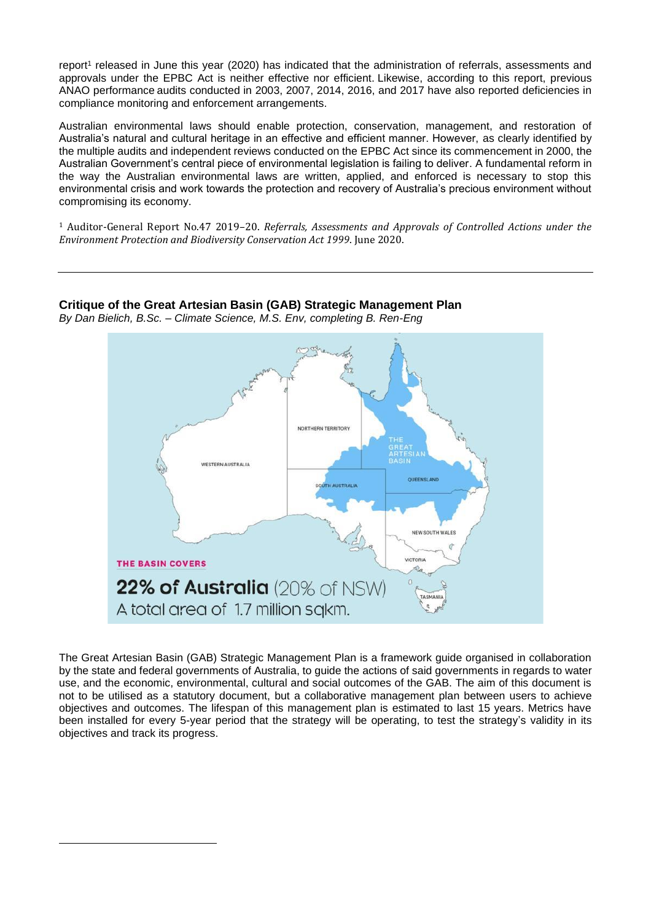report<sup>1</sup> released in June this year (2020) has indicated that the administration of referrals, assessments and approvals under the EPBC Act is neither effective nor efficient. Likewise, according to this report, previous ANAO performance audits conducted in 2003, 2007, 2014, 2016, and 2017 have also reported deficiencies in compliance monitoring and enforcement arrangements.

Australian environmental laws should enable protection, conservation, management, and restoration of Australia's natural and cultural heritage in an effective and efficient manner. However, as clearly identified by the multiple audits and independent reviews conducted on the EPBC Act since its commencement in 2000, the Australian Government's central piece of environmental legislation is failing to deliver. A fundamental reform in the way the Australian environmental laws are written, applied, and enforced is necessary to stop this environmental crisis and work towards the protection and recovery of Australia's precious environment without compromising its economy.

<sup>1</sup> Auditor-General Report No.47 2019–20. *Referrals, Assessments and Approvals of Controlled Actions under the Environment Protection and Biodiversity Conservation Act 1999*. June 2020.



**Critique of the Great Artesian Basin (GAB) Strategic Management Plan**

*By Dan Bielich, B.Sc. – Climate Science, M.S. Env, completing B. Ren-Eng*

The Great Artesian Basin (GAB) Strategic Management Plan is a framework guide organised in collaboration by the state and federal governments of Australia, to guide the actions of said governments in regards to water use, and the economic, environmental, cultural and social outcomes of the GAB. The aim of this document is not to be utilised as a statutory document, but a collaborative management plan between users to achieve objectives and outcomes. The lifespan of this management plan is estimated to last 15 years. Metrics have been installed for every 5-year period that the strategy will be operating, to test the strategy's validity in its objectives and track its progress.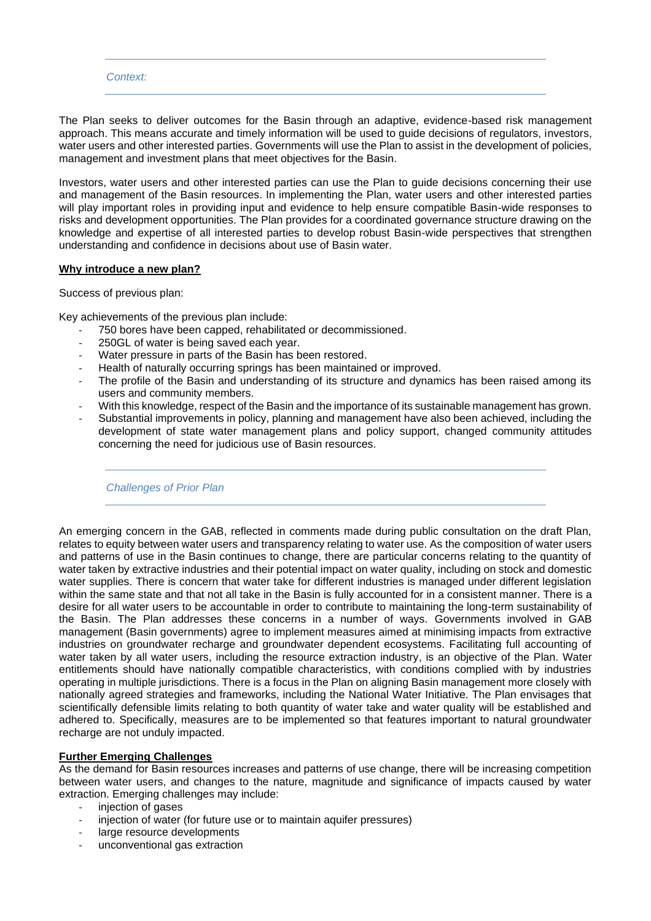#### *Context:*

The Plan seeks to deliver outcomes for the Basin through an adaptive, evidence-based risk management approach. This means accurate and timely information will be used to guide decisions of regulators, investors, water users and other interested parties. Governments will use the Plan to assist in the development of policies, management and investment plans that meet objectives for the Basin.

Investors, water users and other interested parties can use the Plan to guide decisions concerning their use and management of the Basin resources. In implementing the Plan, water users and other interested parties will play important roles in providing input and evidence to help ensure compatible Basin-wide responses to risks and development opportunities. The Plan provides for a coordinated governance structure drawing on the knowledge and expertise of all interested parties to develop robust Basin-wide perspectives that strengthen understanding and confidence in decisions about use of Basin water.

#### **Why introduce a new plan?**

Success of previous plan:

Key achievements of the previous plan include:

- 750 bores have been capped, rehabilitated or decommissioned.
- 250GL of water is being saved each year.
- Water pressure in parts of the Basin has been restored.
- Health of naturally occurring springs has been maintained or improved.
- The profile of the Basin and understanding of its structure and dynamics has been raised among its users and community members.
- With this knowledge, respect of the Basin and the importance of its sustainable management has grown.
- Substantial improvements in policy, planning and management have also been achieved, including the development of state water management plans and policy support, changed community attitudes concerning the need for judicious use of Basin resources.

*Challenges of Prior Plan*

An emerging concern in the GAB, reflected in comments made during public consultation on the draft Plan, relates to equity between water users and transparency relating to water use. As the composition of water users and patterns of use in the Basin continues to change, there are particular concerns relating to the quantity of water taken by extractive industries and their potential impact on water quality, including on stock and domestic water supplies. There is concern that water take for different industries is managed under different legislation within the same state and that not all take in the Basin is fully accounted for in a consistent manner. There is a desire for all water users to be accountable in order to contribute to maintaining the long-term sustainability of the Basin. The Plan addresses these concerns in a number of ways. Governments involved in GAB management (Basin governments) agree to implement measures aimed at minimising impacts from extractive industries on groundwater recharge and groundwater dependent ecosystems. Facilitating full accounting of water taken by all water users, including the resource extraction industry, is an objective of the Plan. Water entitlements should have nationally compatible characteristics, with conditions complied with by industries operating in multiple jurisdictions. There is a focus in the Plan on aligning Basin management more closely with nationally agreed strategies and frameworks, including the National Water Initiative. The Plan envisages that scientifically defensible limits relating to both quantity of water take and water quality will be established and adhered to. Specifically, measures are to be implemented so that features important to natural groundwater recharge are not unduly impacted.

# **Further Emerging Challenges**

As the demand for Basin resources increases and patterns of use change, there will be increasing competition between water users, and changes to the nature, magnitude and significance of impacts caused by water extraction. Emerging challenges may include:

- injection of gases<br>- injection of water
- injection of water (for future use or to maintain aquifer pressures)
- large resource developments
- unconventional gas extraction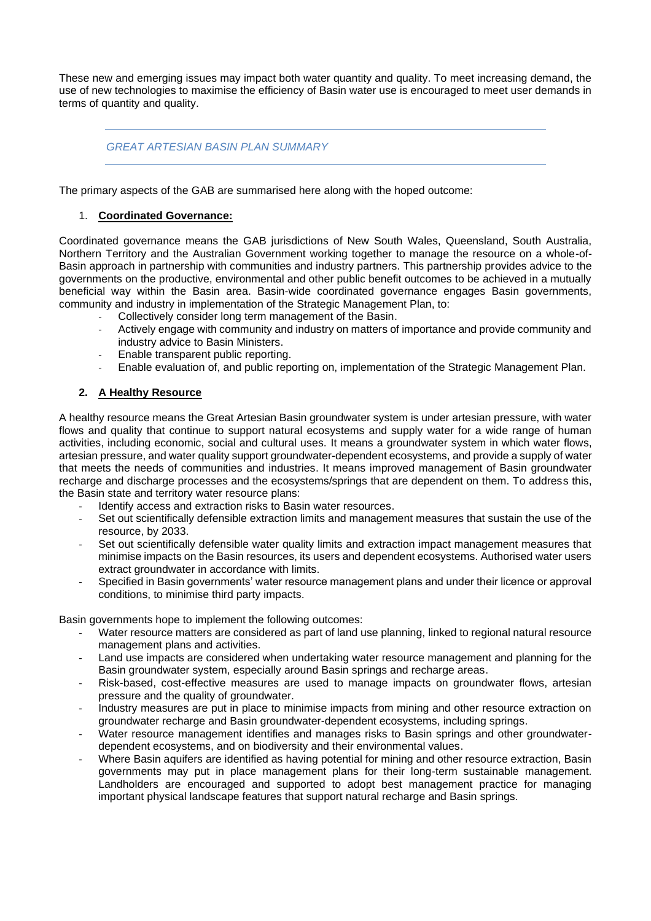These new and emerging issues may impact both water quantity and quality. To meet increasing demand, the use of new technologies to maximise the efficiency of Basin water use is encouraged to meet user demands in terms of quantity and quality.

# *GREAT ARTESIAN BASIN PLAN SUMMARY*

The primary aspects of the GAB are summarised here along with the hoped outcome:

#### 1. **Coordinated Governance:**

Coordinated governance means the GAB jurisdictions of New South Wales, Queensland, South Australia, Northern Territory and the Australian Government working together to manage the resource on a whole-of-Basin approach in partnership with communities and industry partners. This partnership provides advice to the governments on the productive, environmental and other public benefit outcomes to be achieved in a mutually beneficial way within the Basin area. Basin-wide coordinated governance engages Basin governments, community and industry in implementation of the Strategic Management Plan, to:

- Collectively consider long term management of the Basin.
- Actively engage with community and industry on matters of importance and provide community and industry advice to Basin Ministers.
- Enable transparent public reporting.
- Enable evaluation of, and public reporting on, implementation of the Strategic Management Plan.

# **2. A Healthy Resource**

A healthy resource means the Great Artesian Basin groundwater system is under artesian pressure, with water flows and quality that continue to support natural ecosystems and supply water for a wide range of human activities, including economic, social and cultural uses. It means a groundwater system in which water flows, artesian pressure, and water quality support groundwater-dependent ecosystems, and provide a supply of water that meets the needs of communities and industries. It means improved management of Basin groundwater recharge and discharge processes and the ecosystems/springs that are dependent on them. To address this, the Basin state and territory water resource plans:

- Identify access and extraction risks to Basin water resources.
- Set out scientifically defensible extraction limits and management measures that sustain the use of the resource, by 2033.
- Set out scientifically defensible water quality limits and extraction impact management measures that minimise impacts on the Basin resources, its users and dependent ecosystems. Authorised water users extract groundwater in accordance with limits.
- Specified in Basin governments' water resource management plans and under their licence or approval conditions, to minimise third party impacts.

Basin governments hope to implement the following outcomes:

- Water resource matters are considered as part of land use planning, linked to regional natural resource management plans and activities.
- Land use impacts are considered when undertaking water resource management and planning for the Basin groundwater system, especially around Basin springs and recharge areas.
- Risk-based, cost-effective measures are used to manage impacts on groundwater flows, artesian pressure and the quality of groundwater.
- Industry measures are put in place to minimise impacts from mining and other resource extraction on groundwater recharge and Basin groundwater-dependent ecosystems, including springs.
- Water resource management identifies and manages risks to Basin springs and other groundwaterdependent ecosystems, and on biodiversity and their environmental values.
- Where Basin aquifers are identified as having potential for mining and other resource extraction, Basin governments may put in place management plans for their long-term sustainable management. Landholders are encouraged and supported to adopt best management practice for managing important physical landscape features that support natural recharge and Basin springs.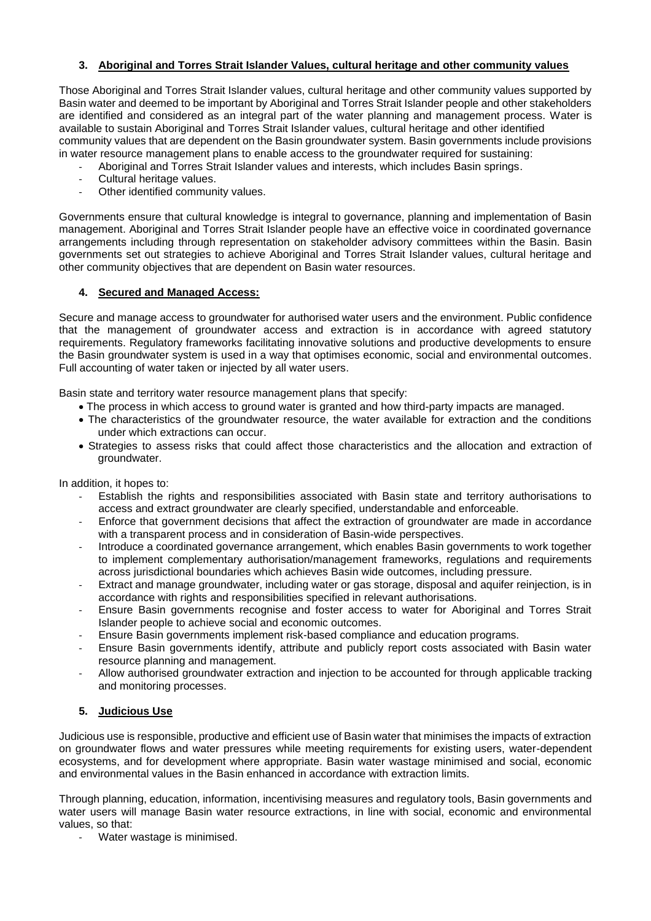# **3. Aboriginal and Torres Strait Islander Values, cultural heritage and other community values**

Those Aboriginal and Torres Strait Islander values, cultural heritage and other community values supported by Basin water and deemed to be important by Aboriginal and Torres Strait Islander people and other stakeholders are identified and considered as an integral part of the water planning and management process. Water is available to sustain Aboriginal and Torres Strait Islander values, cultural heritage and other identified community values that are dependent on the Basin groundwater system. Basin governments include provisions in water resource management plans to enable access to the groundwater required for sustaining:

- Aboriginal and Torres Strait Islander values and interests, which includes Basin springs.
	- Cultural heritage values.
	- Other identified community values.

Governments ensure that cultural knowledge is integral to governance, planning and implementation of Basin management. Aboriginal and Torres Strait Islander people have an effective voice in coordinated governance arrangements including through representation on stakeholder advisory committees within the Basin. Basin governments set out strategies to achieve Aboriginal and Torres Strait Islander values, cultural heritage and other community objectives that are dependent on Basin water resources.

# **4. Secured and Managed Access:**

Secure and manage access to groundwater for authorised water users and the environment. Public confidence that the management of groundwater access and extraction is in accordance with agreed statutory requirements. Regulatory frameworks facilitating innovative solutions and productive developments to ensure the Basin groundwater system is used in a way that optimises economic, social and environmental outcomes. Full accounting of water taken or injected by all water users.

Basin state and territory water resource management plans that specify:

- The process in which access to ground water is granted and how third-party impacts are managed.
- The characteristics of the groundwater resource, the water available for extraction and the conditions under which extractions can occur.
- Strategies to assess risks that could affect those characteristics and the allocation and extraction of groundwater.

In addition, it hopes to:

- Establish the rights and responsibilities associated with Basin state and territory authorisations to access and extract groundwater are clearly specified, understandable and enforceable.
- Enforce that government decisions that affect the extraction of groundwater are made in accordance with a transparent process and in consideration of Basin-wide perspectives.
- Introduce a coordinated governance arrangement, which enables Basin governments to work together to implement complementary authorisation/management frameworks, regulations and requirements across jurisdictional boundaries which achieves Basin wide outcomes, including pressure.
- Extract and manage groundwater, including water or gas storage, disposal and aquifer reinjection, is in accordance with rights and responsibilities specified in relevant authorisations.
- Ensure Basin governments recognise and foster access to water for Aboriginal and Torres Strait Islander people to achieve social and economic outcomes.
- Ensure Basin governments implement risk-based compliance and education programs.
- Ensure Basin governments identify, attribute and publicly report costs associated with Basin water resource planning and management.
- Allow authorised groundwater extraction and injection to be accounted for through applicable tracking and monitoring processes.

# **5. Judicious Use**

Judicious use is responsible, productive and efficient use of Basin water that minimises the impacts of extraction on groundwater flows and water pressures while meeting requirements for existing users, water-dependent ecosystems, and for development where appropriate. Basin water wastage minimised and social, economic and environmental values in the Basin enhanced in accordance with extraction limits.

Through planning, education, information, incentivising measures and regulatory tools, Basin governments and water users will manage Basin water resource extractions, in line with social, economic and environmental values, so that:

- Water wastage is minimised.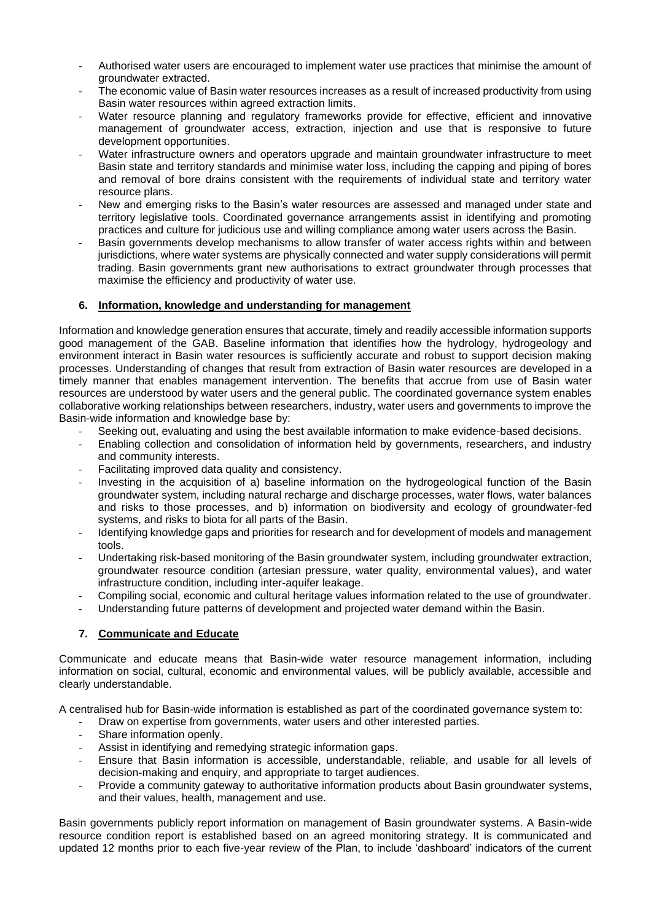- Authorised water users are encouraged to implement water use practices that minimise the amount of groundwater extracted.
- The economic value of Basin water resources increases as a result of increased productivity from using Basin water resources within agreed extraction limits.
- Water resource planning and regulatory frameworks provide for effective, efficient and innovative management of groundwater access, extraction, injection and use that is responsive to future development opportunities.
- Water infrastructure owners and operators upgrade and maintain groundwater infrastructure to meet Basin state and territory standards and minimise water loss, including the capping and piping of bores and removal of bore drains consistent with the requirements of individual state and territory water resource plans.
- New and emerging risks to the Basin's water resources are assessed and managed under state and territory legislative tools. Coordinated governance arrangements assist in identifying and promoting practices and culture for judicious use and willing compliance among water users across the Basin.
- Basin governments develop mechanisms to allow transfer of water access rights within and between jurisdictions, where water systems are physically connected and water supply considerations will permit trading. Basin governments grant new authorisations to extract groundwater through processes that maximise the efficiency and productivity of water use.

# **6. Information, knowledge and understanding for management**

Information and knowledge generation ensures that accurate, timely and readily accessible information supports good management of the GAB. Baseline information that identifies how the hydrology, hydrogeology and environment interact in Basin water resources is sufficiently accurate and robust to support decision making processes. Understanding of changes that result from extraction of Basin water resources are developed in a timely manner that enables management intervention. The benefits that accrue from use of Basin water resources are understood by water users and the general public. The coordinated governance system enables collaborative working relationships between researchers, industry, water users and governments to improve the Basin-wide information and knowledge base by:

- Seeking out, evaluating and using the best available information to make evidence-based decisions.
- Enabling collection and consolidation of information held by governments, researchers, and industry and community interests.
- Facilitating improved data quality and consistency.
- Investing in the acquisition of a) baseline information on the hydrogeological function of the Basin groundwater system, including natural recharge and discharge processes, water flows, water balances and risks to those processes, and b) information on biodiversity and ecology of groundwater-fed systems, and risks to biota for all parts of the Basin.
- Identifying knowledge gaps and priorities for research and for development of models and management tools.
- Undertaking risk-based monitoring of the Basin groundwater system, including groundwater extraction, groundwater resource condition (artesian pressure, water quality, environmental values), and water infrastructure condition, including inter-aquifer leakage.
- Compiling social, economic and cultural heritage values information related to the use of groundwater.
- Understanding future patterns of development and projected water demand within the Basin.

# **7. Communicate and Educate**

Communicate and educate means that Basin-wide water resource management information, including information on social, cultural, economic and environmental values, will be publicly available, accessible and clearly understandable.

A centralised hub for Basin-wide information is established as part of the coordinated governance system to:

- Draw on expertise from governments, water users and other interested parties.
- Share information openly.
- Assist in identifying and remedying strategic information gaps.
- Ensure that Basin information is accessible, understandable, reliable, and usable for all levels of decision-making and enquiry, and appropriate to target audiences.
- Provide a community gateway to authoritative information products about Basin groundwater systems, and their values, health, management and use.

Basin governments publicly report information on management of Basin groundwater systems. A Basin-wide resource condition report is established based on an agreed monitoring strategy. It is communicated and updated 12 months prior to each five-year review of the Plan, to include 'dashboard' indicators of the current